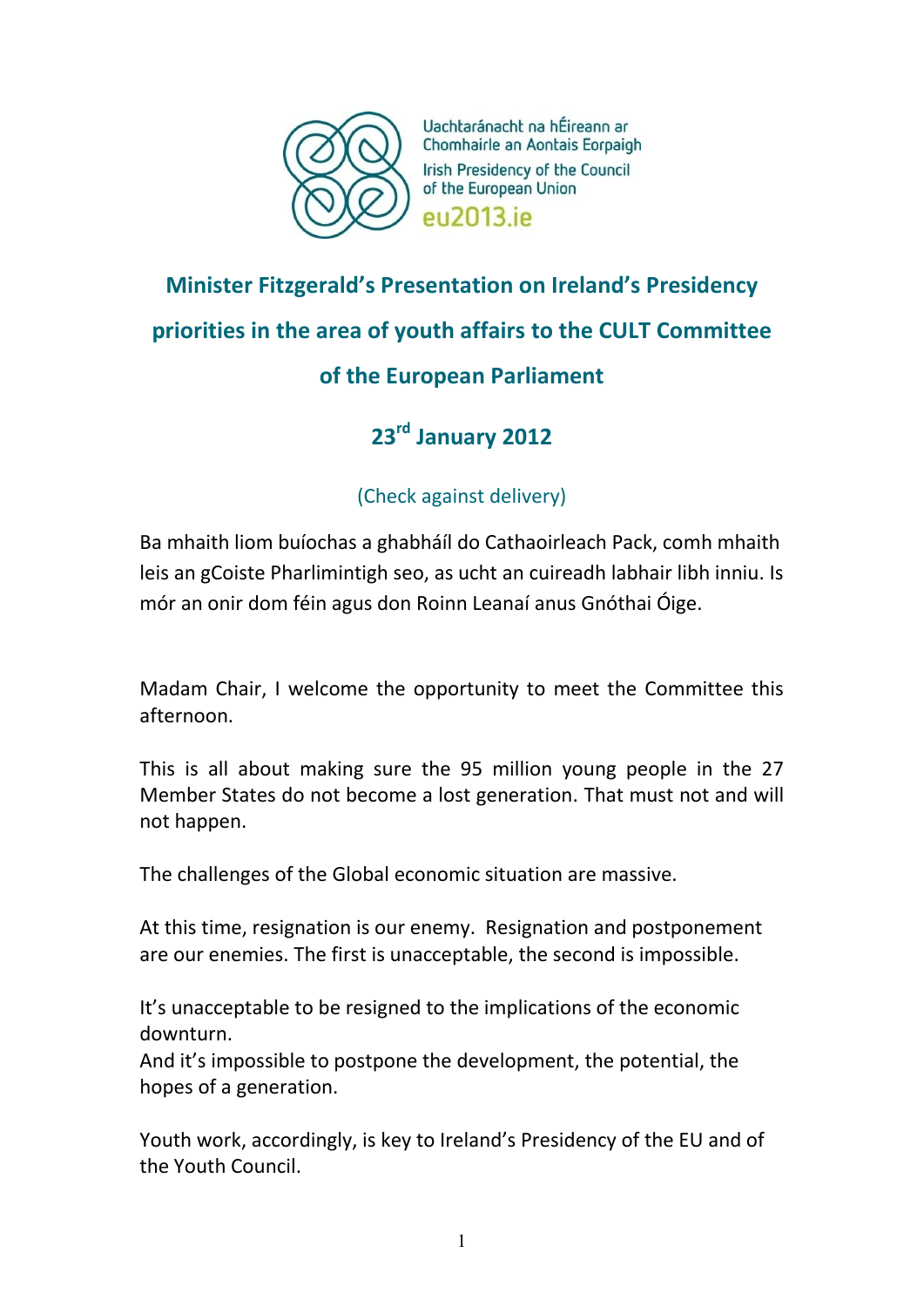

Uachtaránacht na hÉireann ar Chomhairle an Aontais Eorpaigh Irish Presidency of the Council of the European Union **PU2013** iP

## **Minister Fitzgerald's Presentation on Ireland's Presidency priorities in the area of youth affairs to the CULT Committee of the European Parliament**

## **23rd January 2012**

## (Check against delivery)

Ba mhaith liom buíochas a ghabháíl do Cathaoirleach Pack, comh mhaith leis an gCoiste Pharlimintigh seo, as ucht an cuireadh labhair libh inniu. Is mór an onir dom féin agus don Roinn Leanaí anus Gnóthai Óige.

Madam Chair, I welcome the opportunity to meet the Committee this afternoon.

This is all about making sure the 95 million young people in the 27 Member States do not become a lost generation. That must not and will not happen.

The challenges of the Global economic situation are massive.

At this time, resignation is our enemy. Resignation and postponement are our enemies. The first is unacceptable, the second is impossible.

It's unacceptable to be resigned to the implications of the economic downturn.

And it's impossible to postpone the development, the potential, the hopes of a generation.

Youth work, accordingly, is key to Ireland's Presidency of the EU and of the Youth Council.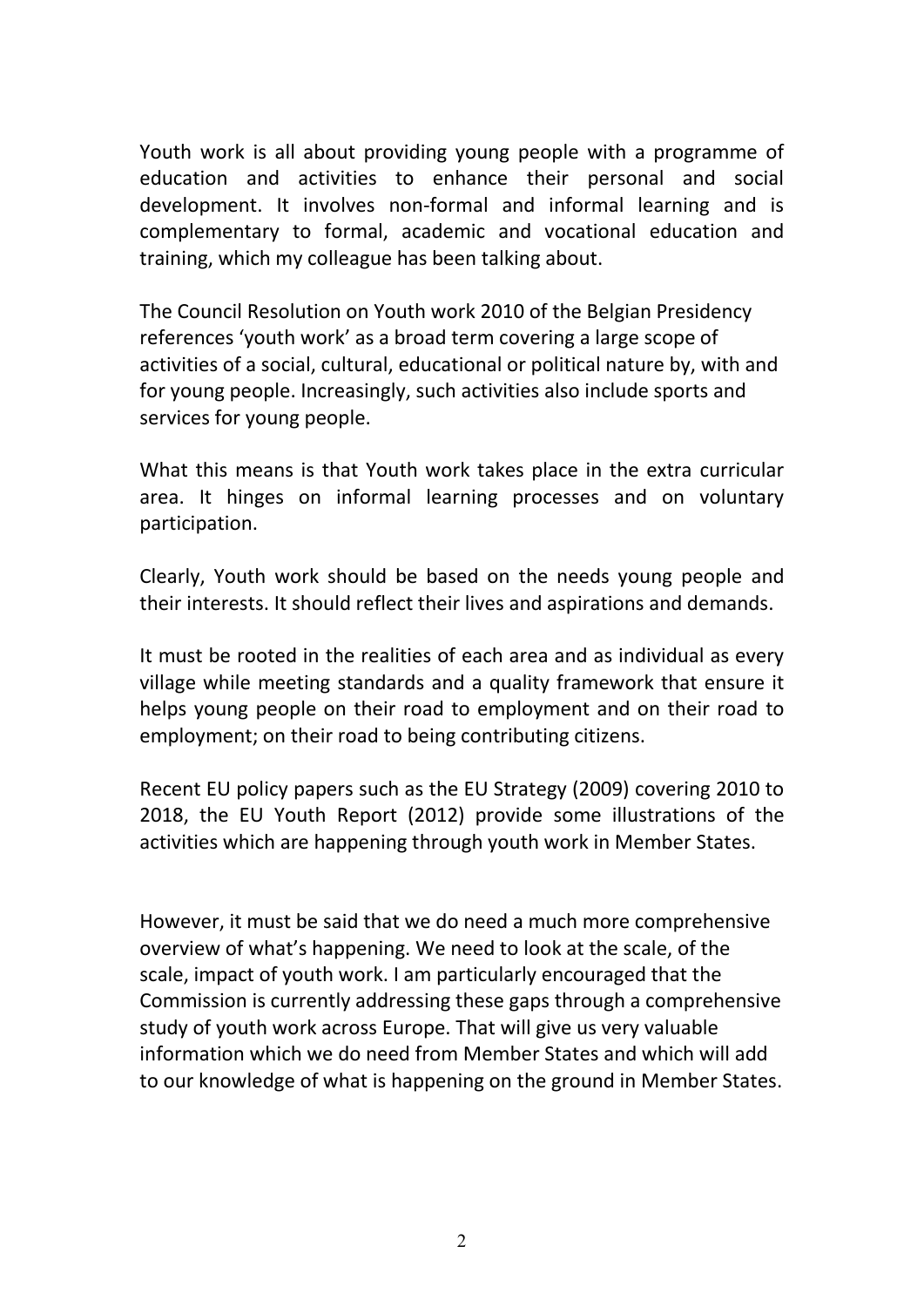Youth work is all about providing young people with a programme of education and activities to enhance their personal and social development. It involves non-formal and informal learning and is complementary to formal, academic and vocational education and training, which my colleague has been talking about.

The Council Resolution on Youth work 2010 of the Belgian Presidency references 'youth work' as a broad term covering a large scope of activities of a social, cultural, educational or political nature by, with and for young people. Increasingly, such activities also include sports and services for young people.

What this means is that Youth work takes place in the extra curricular area. It hinges on informal learning processes and on voluntary participation.

Clearly, Youth work should be based on the needs young people and their interests. It should reflect their lives and aspirations and demands.

It must be rooted in the realities of each area and as individual as every village while meeting standards and a quality framework that ensure it helps young people on their road to employment and on their road to employment; on their road to being contributing citizens.

Recent EU policy papers such as the EU Strategy (2009) covering 2010 to 2018, the EU Youth Report (2012) provide some illustrations of the activities which are happening through youth work in Member States.

However, it must be said that we do need a much more comprehensive overview of what's happening. We need to look at the scale, of the scale, impact of youth work. I am particularly encouraged that the Commission is currently addressing these gaps through a comprehensive study of youth work across Europe. That will give us very valuable information which we do need from Member States and which will add to our knowledge of what is happening on the ground in Member States.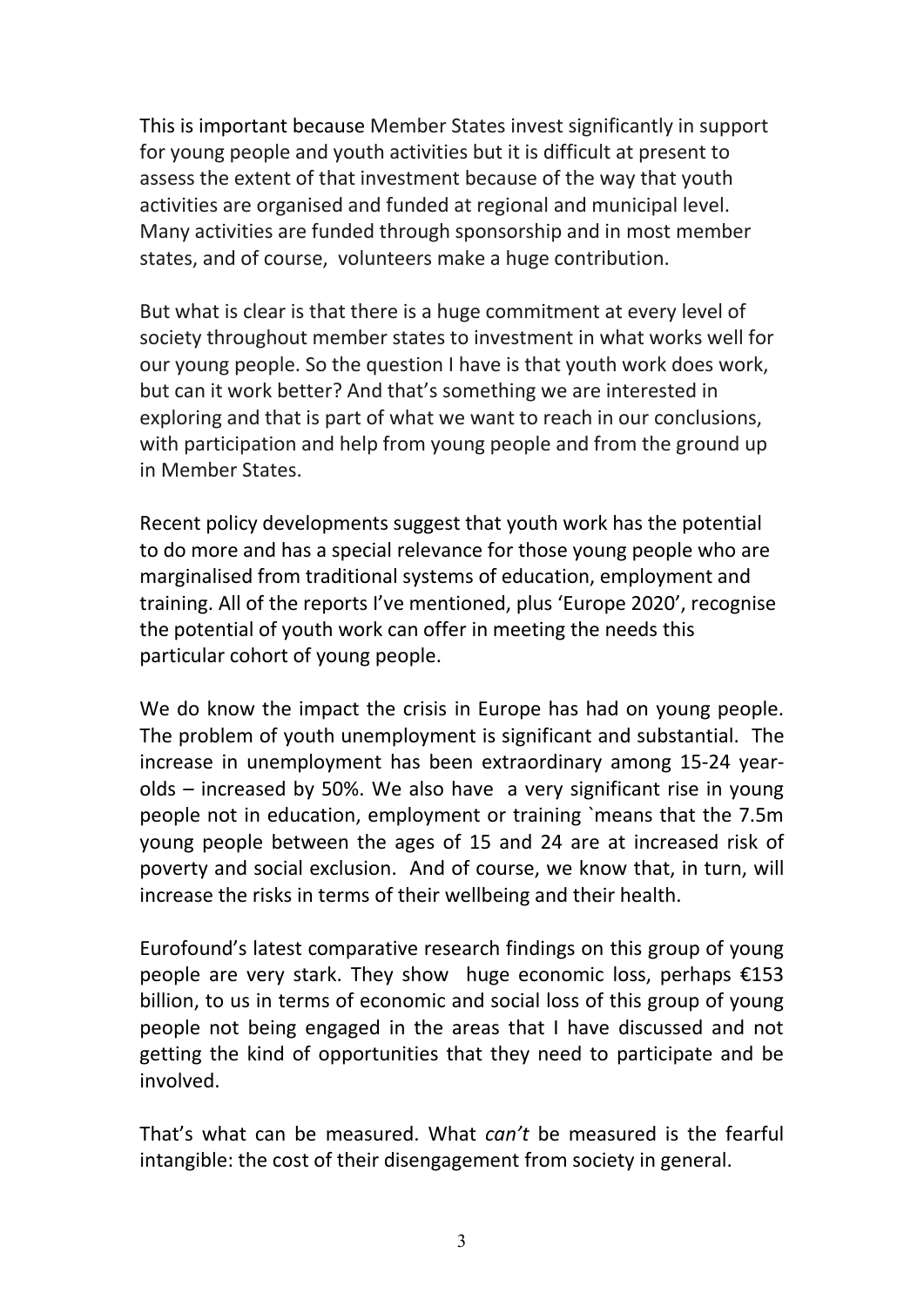This is important because Member States invest significantly in support for young people and youth activities but it is difficult at present to assess the extent of that investment because of the way that youth activities are organised and funded at regional and municipal level. Many activities are funded through sponsorship and in most member states, and of course, volunteers make a huge contribution.

But what is clear is that there is a huge commitment at every level of society throughout member states to investment in what works well for our young people. So the question I have is that youth work does work, but can it work better? And that's something we are interested in exploring and that is part of what we want to reach in our conclusions, with participation and help from young people and from the ground up in Member States.

Recent policy developments suggest that youth work has the potential to do more and has a special relevance for those young people who are marginalised from traditional systems of education, employment and training. All of the reports I've mentioned, plus 'Europe 2020', recognise the potential of youth work can offer in meeting the needs this particular cohort of young people.

We do know the impact the crisis in Europe has had on young people. The problem of youth unemployment is significant and substantial. The increase in unemployment has been extraordinary among 15-24 yearolds – increased by 50%. We also have a very significant rise in young people not in education, employment or training `means that the 7.5m young people between the ages of 15 and 24 are at increased risk of poverty and social exclusion. And of course, we know that, in turn, will increase the risks in terms of their wellbeing and their health.

Eurofound's latest comparative research findings on this group of young people are very stark. They show huge economic loss, perhaps €153 billion, to us in terms of economic and social loss of this group of young people not being engaged in the areas that I have discussed and not getting the kind of opportunities that they need to participate and be involved.

That's what can be measured. What *can't* be measured is the fearful intangible: the cost of their disengagement from society in general.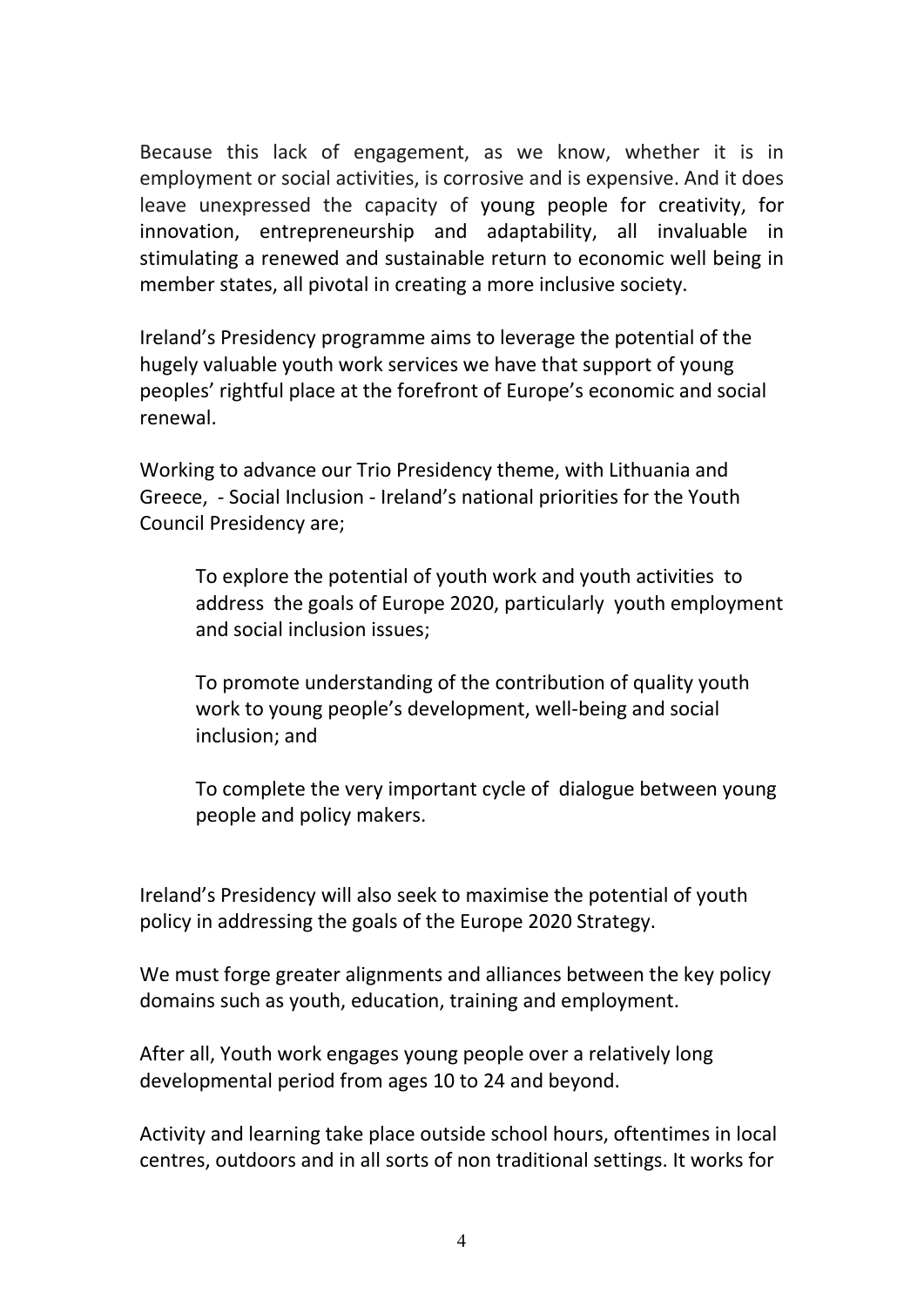Because this lack of engagement, as we know, whether it is in employment or social activities, is corrosive and is expensive. And it does leave unexpressed the capacity of young people for creativity, for innovation, entrepreneurship and adaptability, all invaluable in stimulating a renewed and sustainable return to economic well being in member states, all pivotal in creating a more inclusive society.

Ireland's Presidency programme aims to leverage the potential of the hugely valuable youth work services we have that support of young peoples' rightful place at the forefront of Europe's economic and social renewal.

Working to advance our Trio Presidency theme, with Lithuania and Greece, - Social Inclusion - Ireland's national priorities for the Youth Council Presidency are;

To explore the potential of youth work and youth activities to address the goals of Europe 2020, particularly youth employment and social inclusion issues;

To promote understanding of the contribution of quality youth work to young people's development, well-being and social inclusion; and

To complete the very important cycle of dialogue between young people and policy makers.

Ireland's Presidency will also seek to maximise the potential of youth policy in addressing the goals of the Europe 2020 Strategy.

We must forge greater alignments and alliances between the key policy domains such as youth, education, training and employment.

After all, Youth work engages young people over a relatively long developmental period from ages 10 to 24 and beyond.

Activity and learning take place outside school hours, oftentimes in local centres, outdoors and in all sorts of non traditional settings. It works for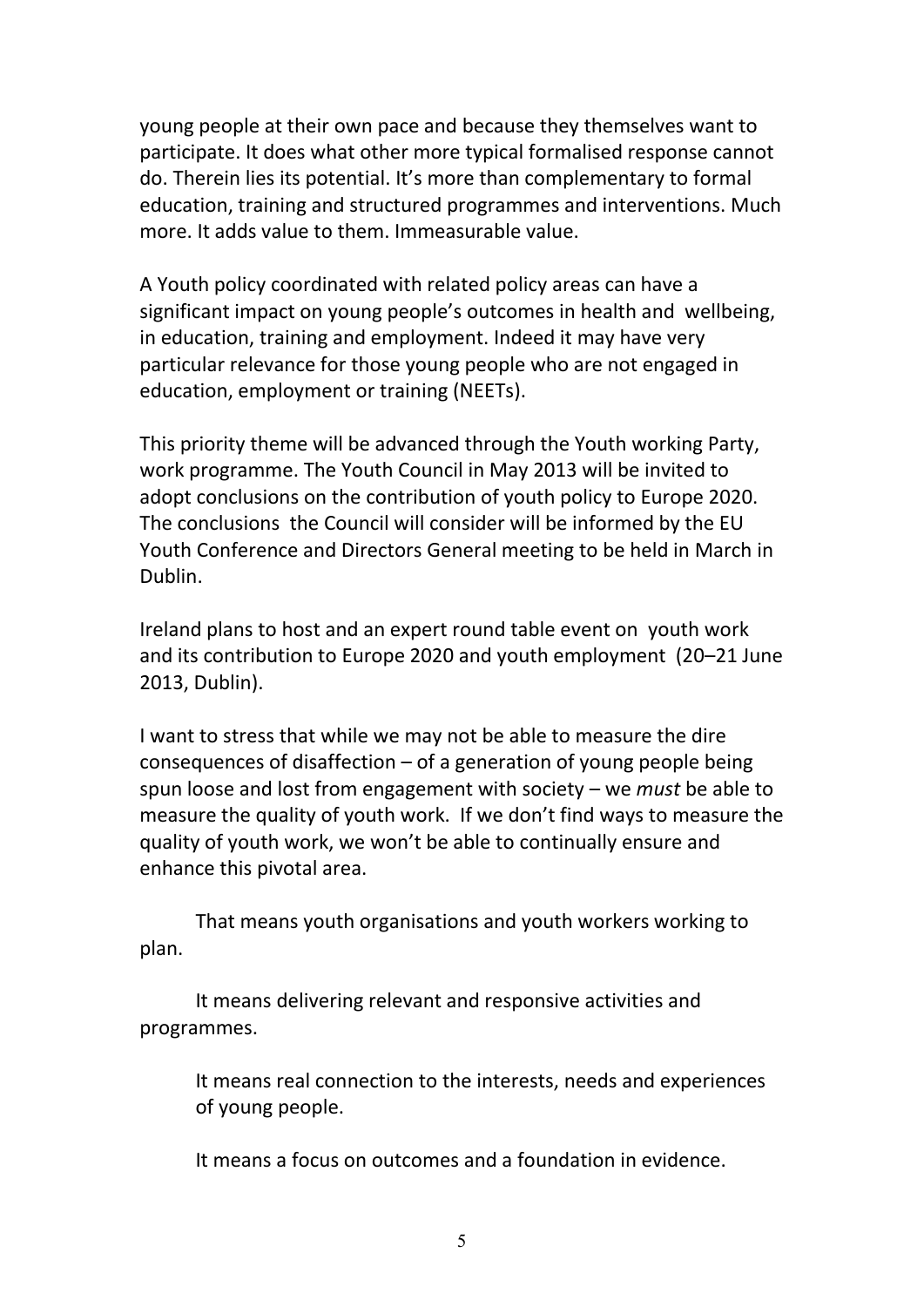young people at their own pace and because they themselves want to participate. It does what other more typical formalised response cannot do. Therein lies its potential. It's more than complementary to formal education, training and structured programmes and interventions. Much more. It adds value to them. Immeasurable value.

A Youth policy coordinated with related policy areas can have a significant impact on young people's outcomes in health and wellbeing, in education, training and employment. Indeed it may have very particular relevance for those young people who are not engaged in education, employment or training (NEETs).

This priority theme will be advanced through the Youth working Party, work programme. The Youth Council in May 2013 will be invited to adopt conclusions on the contribution of youth policy to Europe 2020. The conclusions the Council will consider will be informed by the EU Youth Conference and Directors General meeting to be held in March in Dublin.

Ireland plans to host and an expert round table event on youth work and its contribution to Europe 2020 and youth employment (20–21 June 2013, Dublin).

I want to stress that while we may not be able to measure the dire consequences of disaffection – of a generation of young people being spun loose and lost from engagement with society – we *must* be able to measure the quality of youth work. If we don't find ways to measure the quality of youth work, we won't be able to continually ensure and enhance this pivotal area.

That means youth organisations and youth workers working to plan.

It means delivering relevant and responsive activities and programmes.

It means real connection to the interests, needs and experiences of young people.

It means a focus on outcomes and a foundation in evidence.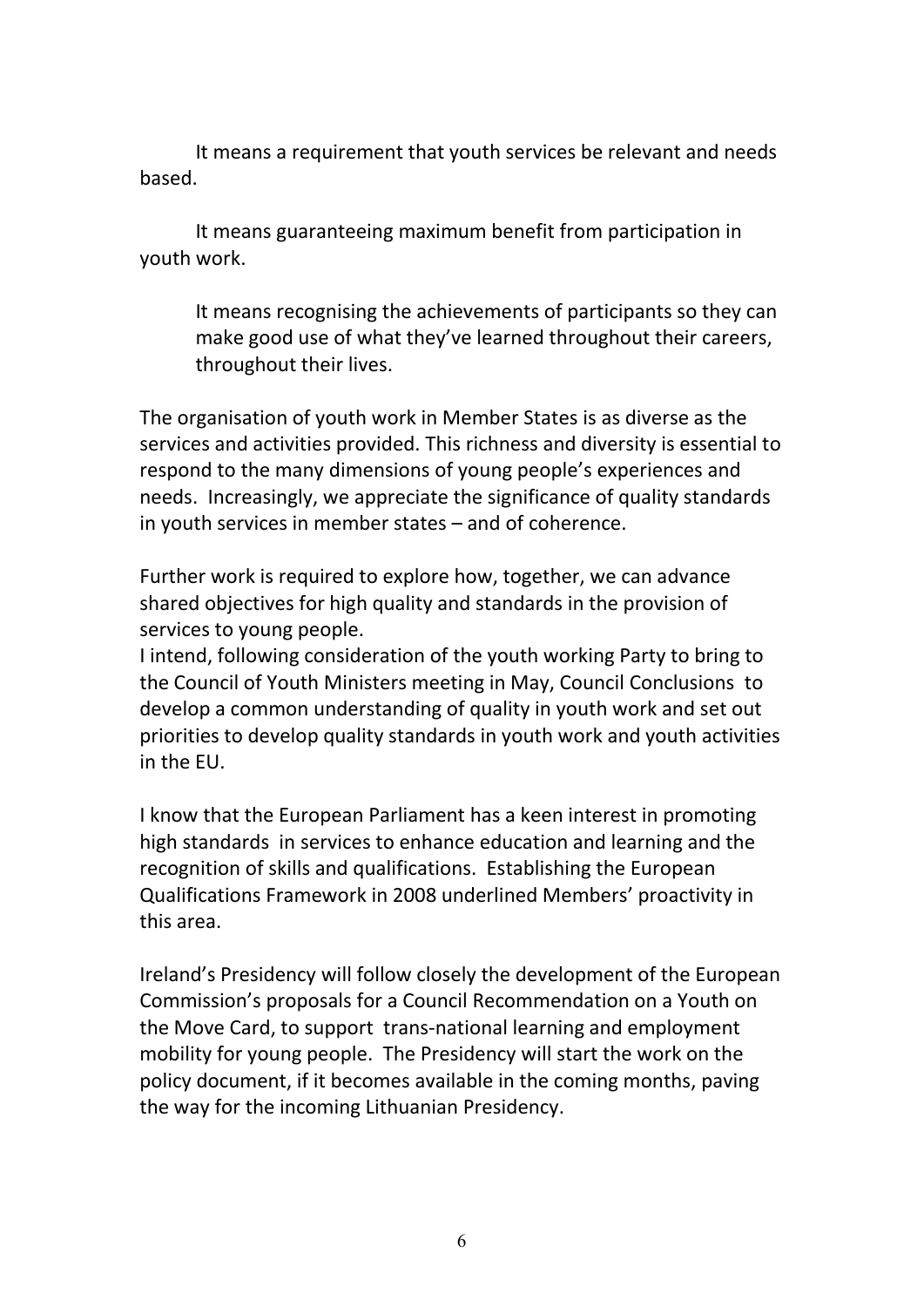It means a requirement that youth services be relevant and needs based.

It means guaranteeing maximum benefit from participation in youth work.

It means recognising the achievements of participants so they can make good use of what they've learned throughout their careers, throughout their lives.

The organisation of youth work in Member States is as diverse as the services and activities provided. This richness and diversity is essential to respond to the many dimensions of young people's experiences and needs. Increasingly, we appreciate the significance of quality standards in youth services in member states – and of coherence.

Further work is required to explore how, together, we can advance shared objectives for high quality and standards in the provision of services to young people.

I intend, following consideration of the youth working Party to bring to the Council of Youth Ministers meeting in May, Council Conclusions to develop a common understanding of quality in youth work and set out priorities to develop quality standards in youth work and youth activities in the EU.

I know that the European Parliament has a keen interest in promoting high standards in services to enhance education and learning and the recognition of skills and qualifications. Establishing the European Qualifications Framework in 2008 underlined Members' proactivity in this area.

Ireland's Presidency will follow closely the development of the European Commission's proposals for a Council Recommendation on a Youth on the Move Card, to support trans-national learning and employment mobility for young people. The Presidency will start the work on the policy document, if it becomes available in the coming months, paving the way for the incoming Lithuanian Presidency.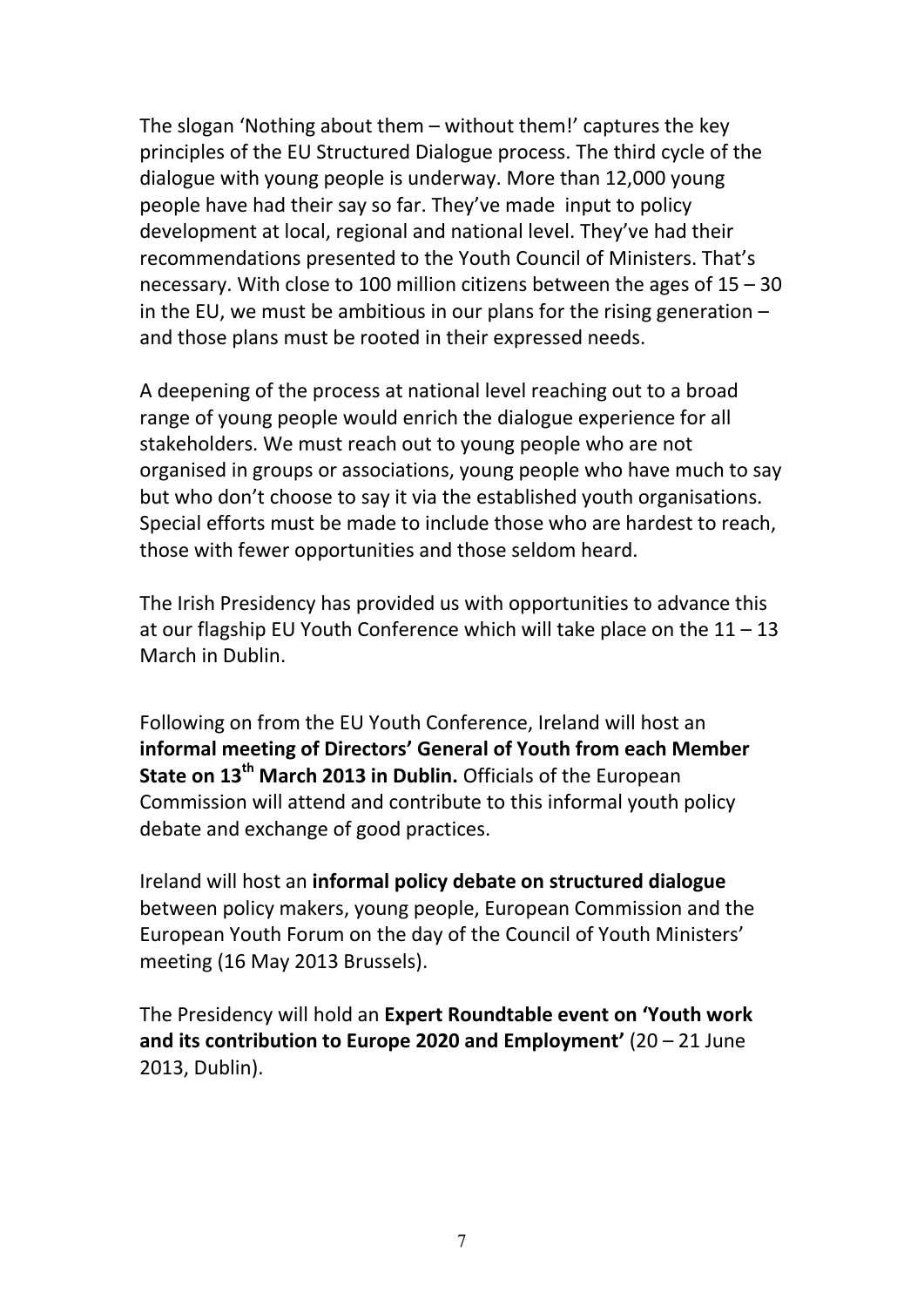The slogan 'Nothing about them – without them!' captures the key principles of the EU Structured Dialogue process. The third cycle of the dialogue with young people is underway. More than 12,000 young people have had their say so far. They've made input to policy development at local, regional and national level. They've had their recommendations presented to the Youth Council of Ministers. That's necessary. With close to 100 million citizens between the ages of 15 – 30 in the EU, we must be ambitious in our plans for the rising generation  $$ and those plans must be rooted in their expressed needs.

A deepening of the process at national level reaching out to a broad range of young people would enrich the dialogue experience for all stakeholders. We must reach out to young people who are not organised in groups or associations, young people who have much to say but who don't choose to say it via the established youth organisations. Special efforts must be made to include those who are hardest to reach, those with fewer opportunities and those seldom heard.

The Irish Presidency has provided us with opportunities to advance this at our flagship EU Youth Conference which will take place on the 11 – 13 March in Dublin.

Following on from the EU Youth Conference, Ireland will host an **informal meeting of Directors' General of Youth from each Member State on 13th March 2013 in Dublin.** Officials of the European Commission will attend and contribute to this informal youth policy debate and exchange of good practices.

Ireland will host an **informal policy debate on structured dialogue** between policy makers, young people, European Commission and the European Youth Forum on the day of the Council of Youth Ministers' meeting (16 May 2013 Brussels).

The Presidency will hold an **Expert Roundtable event on 'Youth work and its contribution to Europe 2020 and Employment'** (20 – 21 June 2013, Dublin).